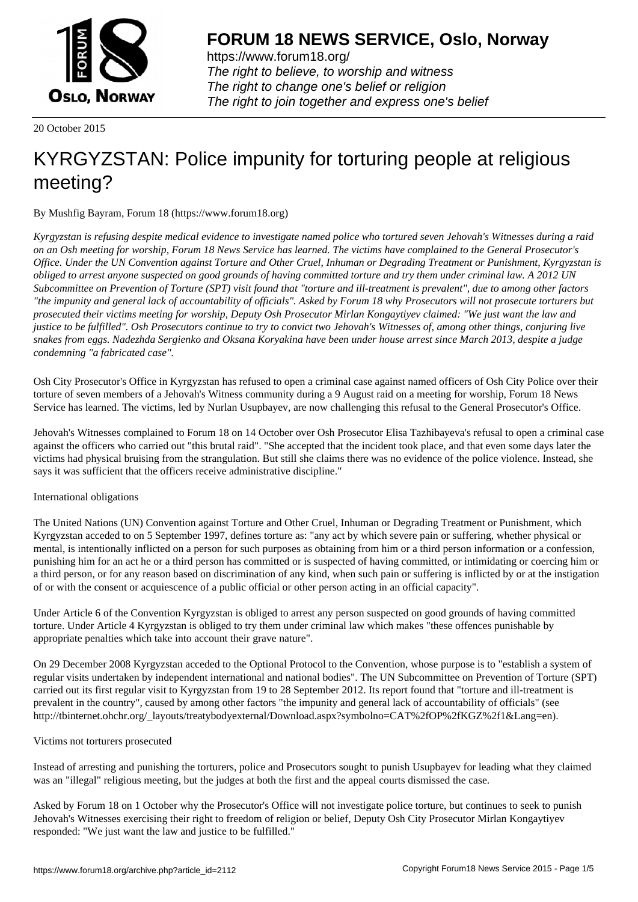

https://www.forum18.org/ The right to believe, to worship and witness The right to change one's belief or religion [The right to join together a](https://www.forum18.org/)nd express one's belief

20 October 2015

## [KYRGYZSTAN](https://www.forum18.org): Police impunity for torturing people at religious meeting?

By Mushfig Bayram, Forum 18 (https://www.forum18.org)

*Kyrgyzstan is refusing despite medical evidence to investigate named police who tortured seven Jehovah's Witnesses during a raid on an Osh meeting for worship, Forum 18 News Service has learned. The victims have complained to the General Prosecutor's Office. Under the UN Convention against Torture and Other Cruel, Inhuman or Degrading Treatment or Punishment, Kyrgyzstan is obliged to arrest anyone suspected on good grounds of having committed torture and try them under criminal law. A 2012 UN Subcommittee on Prevention of Torture (SPT) visit found that "torture and ill-treatment is prevalent", due to among other factors "the impunity and general lack of accountability of officials". Asked by Forum 18 why Prosecutors will not prosecute torturers but prosecuted their victims meeting for worship, Deputy Osh Prosecutor Mirlan Kongaytiyev claimed: "We just want the law and justice to be fulfilled". Osh Prosecutors continue to try to convict two Jehovah's Witnesses of, among other things, conjuring live snakes from eggs. Nadezhda Sergienko and Oksana Koryakina have been under house arrest since March 2013, despite a judge condemning "a fabricated case".*

Osh City Prosecutor's Office in Kyrgyzstan has refused to open a criminal case against named officers of Osh City Police over their torture of seven members of a Jehovah's Witness community during a 9 August raid on a meeting for worship, Forum 18 News Service has learned. The victims, led by Nurlan Usupbayev, are now challenging this refusal to the General Prosecutor's Office.

Jehovah's Witnesses complained to Forum 18 on 14 October over Osh Prosecutor Elisa Tazhibayeva's refusal to open a criminal case against the officers who carried out "this brutal raid". "She accepted that the incident took place, and that even some days later the victims had physical bruising from the strangulation. But still she claims there was no evidence of the police violence. Instead, she says it was sufficient that the officers receive administrative discipline."

## International obligations

The United Nations (UN) Convention against Torture and Other Cruel, Inhuman or Degrading Treatment or Punishment, which Kyrgyzstan acceded to on 5 September 1997, defines torture as: "any act by which severe pain or suffering, whether physical or mental, is intentionally inflicted on a person for such purposes as obtaining from him or a third person information or a confession, punishing him for an act he or a third person has committed or is suspected of having committed, or intimidating or coercing him or a third person, or for any reason based on discrimination of any kind, when such pain or suffering is inflicted by or at the instigation of or with the consent or acquiescence of a public official or other person acting in an official capacity".

Under Article 6 of the Convention Kyrgyzstan is obliged to arrest any person suspected on good grounds of having committed torture. Under Article 4 Kyrgyzstan is obliged to try them under criminal law which makes "these offences punishable by appropriate penalties which take into account their grave nature".

On 29 December 2008 Kyrgyzstan acceded to the Optional Protocol to the Convention, whose purpose is to "establish a system of regular visits undertaken by independent international and national bodies". The UN Subcommittee on Prevention of Torture (SPT) carried out its first regular visit to Kyrgyzstan from 19 to 28 September 2012. Its report found that "torture and ill-treatment is prevalent in the country", caused by among other factors "the impunity and general lack of accountability of officials" (see http://tbinternet.ohchr.org/\_layouts/treatybodyexternal/Download.aspx?symbolno=CAT%2fOP%2fKGZ%2f1&Lang=en).

## Victims not torturers prosecuted

Instead of arresting and punishing the torturers, police and Prosecutors sought to punish Usupbayev for leading what they claimed was an "illegal" religious meeting, but the judges at both the first and the appeal courts dismissed the case.

Asked by Forum 18 on 1 October why the Prosecutor's Office will not investigate police torture, but continues to seek to punish Jehovah's Witnesses exercising their right to freedom of religion or belief, Deputy Osh City Prosecutor Mirlan Kongaytiyev responded: "We just want the law and justice to be fulfilled."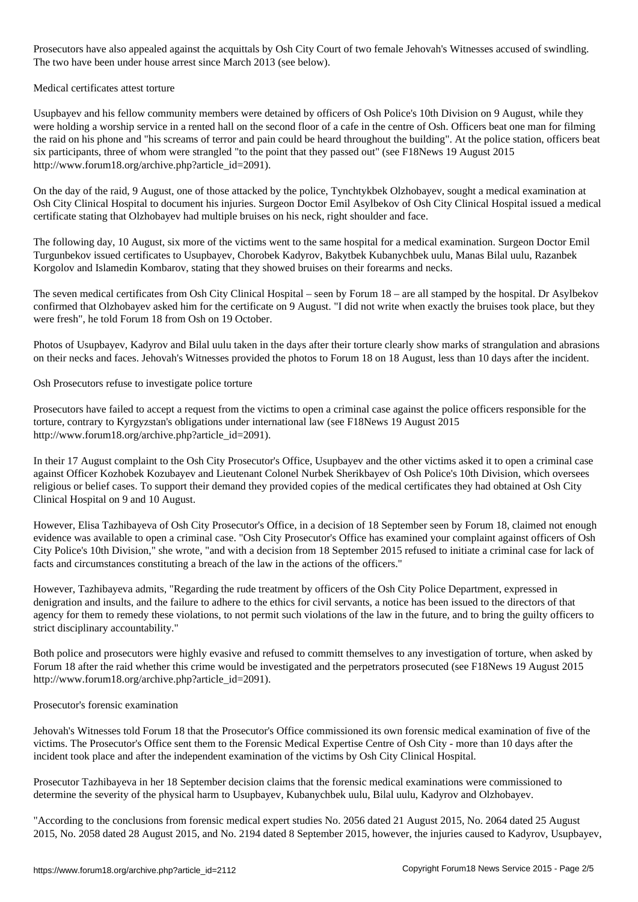Prosecutors have also appealed against the acquittals by Osh City Court of two female Jehovah's Witnesses accused of swindling. The two have been under house arrest since March 2013 (see below).

Medical certificates attest torture

Usupbayev and his fellow community members were detained by officers of Osh Police's 10th Division on 9 August, while they were holding a worship service in a rented hall on the second floor of a cafe in the centre of Osh. Officers beat one man for filming the raid on his phone and "his screams of terror and pain could be heard throughout the building". At the police station, officers beat six participants, three of whom were strangled "to the point that they passed out" (see F18News 19 August 2015 http://www.forum18.org/archive.php?article\_id=2091).

On the day of the raid, 9 August, one of those attacked by the police, Tynchtykbek Olzhobayev, sought a medical examination at Osh City Clinical Hospital to document his injuries. Surgeon Doctor Emil Asylbekov of Osh City Clinical Hospital issued a medical certificate stating that Olzhobayev had multiple bruises on his neck, right shoulder and face.

The following day, 10 August, six more of the victims went to the same hospital for a medical examination. Surgeon Doctor Emil Turgunbekov issued certificates to Usupbayev, Chorobek Kadyrov, Bakytbek Kubanychbek uulu, Manas Bilal uulu, Razanbek Korgolov and Islamedin Kombarov, stating that they showed bruises on their forearms and necks.

The seven medical certificates from Osh City Clinical Hospital – seen by Forum 18 – are all stamped by the hospital. Dr Asylbekov confirmed that Olzhobayev asked him for the certificate on 9 August. "I did not write when exactly the bruises took place, but they were fresh", he told Forum 18 from Osh on 19 October.

Photos of Usupbayev, Kadyrov and Bilal uulu taken in the days after their torture clearly show marks of strangulation and abrasions on their necks and faces. Jehovah's Witnesses provided the photos to Forum 18 on 18 August, less than 10 days after the incident.

Osh Prosecutors refuse to investigate police torture

Prosecutors have failed to accept a request from the victims to open a criminal case against the police officers responsible for the torture, contrary to Kyrgyzstan's obligations under international law (see F18News 19 August 2015 http://www.forum18.org/archive.php?article\_id=2091).

In their 17 August complaint to the Osh City Prosecutor's Office, Usupbayev and the other victims asked it to open a criminal case against Officer Kozhobek Kozubayev and Lieutenant Colonel Nurbek Sherikbayev of Osh Police's 10th Division, which oversees religious or belief cases. To support their demand they provided copies of the medical certificates they had obtained at Osh City Clinical Hospital on 9 and 10 August.

However, Elisa Tazhibayeva of Osh City Prosecutor's Office, in a decision of 18 September seen by Forum 18, claimed not enough evidence was available to open a criminal case. "Osh City Prosecutor's Office has examined your complaint against officers of Osh City Police's 10th Division," she wrote, "and with a decision from 18 September 2015 refused to initiate a criminal case for lack of facts and circumstances constituting a breach of the law in the actions of the officers."

However, Tazhibayeva admits, "Regarding the rude treatment by officers of the Osh City Police Department, expressed in denigration and insults, and the failure to adhere to the ethics for civil servants, a notice has been issued to the directors of that agency for them to remedy these violations, to not permit such violations of the law in the future, and to bring the guilty officers to strict disciplinary accountability."

Both police and prosecutors were highly evasive and refused to committ themselves to any investigation of torture, when asked by Forum 18 after the raid whether this crime would be investigated and the perpetrators prosecuted (see F18News 19 August 2015 http://www.forum18.org/archive.php?article\_id=2091).

Prosecutor's forensic examination

Jehovah's Witnesses told Forum 18 that the Prosecutor's Office commissioned its own forensic medical examination of five of the victims. The Prosecutor's Office sent them to the Forensic Medical Expertise Centre of Osh City - more than 10 days after the incident took place and after the independent examination of the victims by Osh City Clinical Hospital.

Prosecutor Tazhibayeva in her 18 September decision claims that the forensic medical examinations were commissioned to determine the severity of the physical harm to Usupbayev, Kubanychbek uulu, Bilal uulu, Kadyrov and Olzhobayev.

"According to the conclusions from forensic medical expert studies No. 2056 dated 21 August 2015, No. 2064 dated 25 August 2015, No. 2058 dated 28 August 2015, and No. 2194 dated 8 September 2015, however, the injuries caused to Kadyrov, Usupbayev,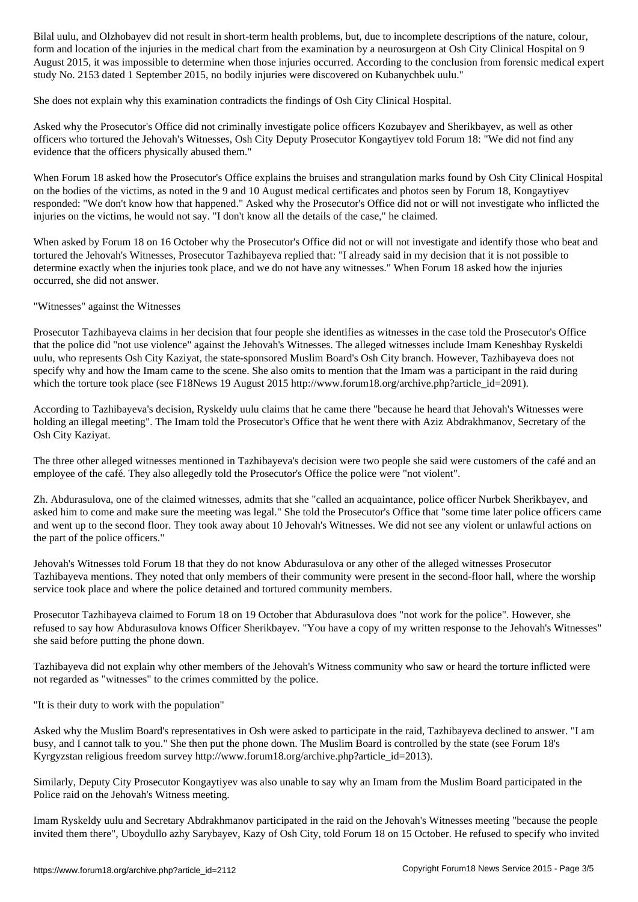form and location of the injuries in the medical chart from the examination by a neurosurgeon at Osh City Clinical Hospital on 9 August 2015, it was impossible to determine when those injuries occurred. According to the conclusion from forensic medical expert study No. 2153 dated 1 September 2015, no bodily injuries were discovered on Kubanychbek uulu."

She does not explain why this examination contradicts the findings of Osh City Clinical Hospital.

Asked why the Prosecutor's Office did not criminally investigate police officers Kozubayev and Sherikbayev, as well as other officers who tortured the Jehovah's Witnesses, Osh City Deputy Prosecutor Kongaytiyev told Forum 18: "We did not find any evidence that the officers physically abused them."

When Forum 18 asked how the Prosecutor's Office explains the bruises and strangulation marks found by Osh City Clinical Hospital on the bodies of the victims, as noted in the 9 and 10 August medical certificates and photos seen by Forum 18, Kongaytiyev responded: "We don't know how that happened." Asked why the Prosecutor's Office did not or will not investigate who inflicted the injuries on the victims, he would not say. "I don't know all the details of the case," he claimed.

When asked by Forum 18 on 16 October why the Prosecutor's Office did not or will not investigate and identify those who beat and tortured the Jehovah's Witnesses, Prosecutor Tazhibayeva replied that: "I already said in my decision that it is not possible to determine exactly when the injuries took place, and we do not have any witnesses." When Forum 18 asked how the injuries occurred, she did not answer.

## "Witnesses" against the Witnesses

Prosecutor Tazhibayeva claims in her decision that four people she identifies as witnesses in the case told the Prosecutor's Office that the police did "not use violence" against the Jehovah's Witnesses. The alleged witnesses include Imam Keneshbay Ryskeldi uulu, who represents Osh City Kaziyat, the state-sponsored Muslim Board's Osh City branch. However, Tazhibayeva does not specify why and how the Imam came to the scene. She also omits to mention that the Imam was a participant in the raid during which the torture took place (see F18News 19 August 2015 http://www.forum18.org/archive.php?article\_id=2091).

According to Tazhibayeva's decision, Ryskeldy uulu claims that he came there "because he heard that Jehovah's Witnesses were holding an illegal meeting". The Imam told the Prosecutor's Office that he went there with Aziz Abdrakhmanov, Secretary of the Osh City Kaziyat.

The three other alleged witnesses mentioned in Tazhibayeva's decision were two people she said were customers of the café and an employee of the café. They also allegedly told the Prosecutor's Office the police were "not violent".

Zh. Abdurasulova, one of the claimed witnesses, admits that she "called an acquaintance, police officer Nurbek Sherikbayev, and asked him to come and make sure the meeting was legal." She told the Prosecutor's Office that "some time later police officers came and went up to the second floor. They took away about 10 Jehovah's Witnesses. We did not see any violent or unlawful actions on the part of the police officers."

Jehovah's Witnesses told Forum 18 that they do not know Abdurasulova or any other of the alleged witnesses Prosecutor Tazhibayeva mentions. They noted that only members of their community were present in the second-floor hall, where the worship service took place and where the police detained and tortured community members.

Prosecutor Tazhibayeva claimed to Forum 18 on 19 October that Abdurasulova does "not work for the police". However, she refused to say how Abdurasulova knows Officer Sherikbayev. "You have a copy of my written response to the Jehovah's Witnesses" she said before putting the phone down.

Tazhibayeva did not explain why other members of the Jehovah's Witness community who saw or heard the torture inflicted were not regarded as "witnesses" to the crimes committed by the police.

"It is their duty to work with the population"

Asked why the Muslim Board's representatives in Osh were asked to participate in the raid, Tazhibayeva declined to answer. "I am busy, and I cannot talk to you." She then put the phone down. The Muslim Board is controlled by the state (see Forum 18's Kyrgyzstan religious freedom survey http://www.forum18.org/archive.php?article\_id=2013).

Similarly, Deputy City Prosecutor Kongaytiyev was also unable to say why an Imam from the Muslim Board participated in the Police raid on the Jehovah's Witness meeting.

Imam Ryskeldy uulu and Secretary Abdrakhmanov participated in the raid on the Jehovah's Witnesses meeting "because the people invited them there", Uboydullo azhy Sarybayev, Kazy of Osh City, told Forum 18 on 15 October. He refused to specify who invited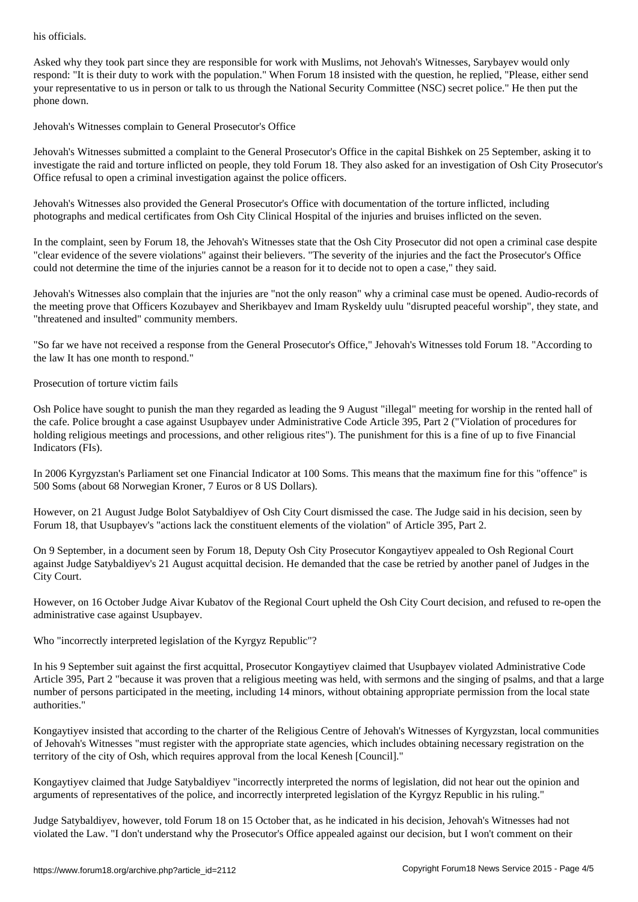Asked why they took part since they are responsible for work with Muslims, not Jehovah's Witnesses, Sarybayev would only respond: "It is their duty to work with the population." When Forum 18 insisted with the question, he replied, "Please, either send your representative to us in person or talk to us through the National Security Committee (NSC) secret police." He then put the phone down.

Jehovah's Witnesses complain to General Prosecutor's Office

Jehovah's Witnesses submitted a complaint to the General Prosecutor's Office in the capital Bishkek on 25 September, asking it to investigate the raid and torture inflicted on people, they told Forum 18. They also asked for an investigation of Osh City Prosecutor's Office refusal to open a criminal investigation against the police officers.

Jehovah's Witnesses also provided the General Prosecutor's Office with documentation of the torture inflicted, including photographs and medical certificates from Osh City Clinical Hospital of the injuries and bruises inflicted on the seven.

In the complaint, seen by Forum 18, the Jehovah's Witnesses state that the Osh City Prosecutor did not open a criminal case despite "clear evidence of the severe violations" against their believers. "The severity of the injuries and the fact the Prosecutor's Office could not determine the time of the injuries cannot be a reason for it to decide not to open a case," they said.

Jehovah's Witnesses also complain that the injuries are "not the only reason" why a criminal case must be opened. Audio-records of the meeting prove that Officers Kozubayev and Sherikbayev and Imam Ryskeldy uulu "disrupted peaceful worship", they state, and "threatened and insulted" community members.

"So far we have not received a response from the General Prosecutor's Office," Jehovah's Witnesses told Forum 18. "According to the law It has one month to respond."

Prosecution of torture victim fails

Osh Police have sought to punish the man they regarded as leading the 9 August "illegal" meeting for worship in the rented hall of the cafe. Police brought a case against Usupbayev under Administrative Code Article 395, Part 2 ("Violation of procedures for holding religious meetings and processions, and other religious rites"). The punishment for this is a fine of up to five Financial Indicators (FIs).

In 2006 Kyrgyzstan's Parliament set one Financial Indicator at 100 Soms. This means that the maximum fine for this "offence" is 500 Soms (about 68 Norwegian Kroner, 7 Euros or 8 US Dollars).

However, on 21 August Judge Bolot Satybaldiyev of Osh City Court dismissed the case. The Judge said in his decision, seen by Forum 18, that Usupbayev's "actions lack the constituent elements of the violation" of Article 395, Part 2.

On 9 September, in a document seen by Forum 18, Deputy Osh City Prosecutor Kongaytiyev appealed to Osh Regional Court against Judge Satybaldiyev's 21 August acquittal decision. He demanded that the case be retried by another panel of Judges in the City Court.

However, on 16 October Judge Aivar Kubatov of the Regional Court upheld the Osh City Court decision, and refused to re-open the administrative case against Usupbayev.

Who "incorrectly interpreted legislation of the Kyrgyz Republic"?

In his 9 September suit against the first acquittal, Prosecutor Kongaytiyev claimed that Usupbayev violated Administrative Code Article 395, Part 2 "because it was proven that a religious meeting was held, with sermons and the singing of psalms, and that a large number of persons participated in the meeting, including 14 minors, without obtaining appropriate permission from the local state authorities."

Kongaytiyev insisted that according to the charter of the Religious Centre of Jehovah's Witnesses of Kyrgyzstan, local communities of Jehovah's Witnesses "must register with the appropriate state agencies, which includes obtaining necessary registration on the territory of the city of Osh, which requires approval from the local Kenesh [Council]."

Kongaytiyev claimed that Judge Satybaldiyev "incorrectly interpreted the norms of legislation, did not hear out the opinion and arguments of representatives of the police, and incorrectly interpreted legislation of the Kyrgyz Republic in his ruling."

Judge Satybaldiyev, however, told Forum 18 on 15 October that, as he indicated in his decision, Jehovah's Witnesses had not violated the Law. "I don't understand why the Prosecutor's Office appealed against our decision, but I won't comment on their